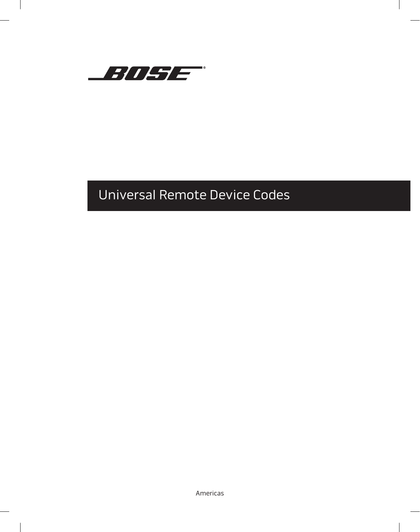

# Universal Remote Device Codes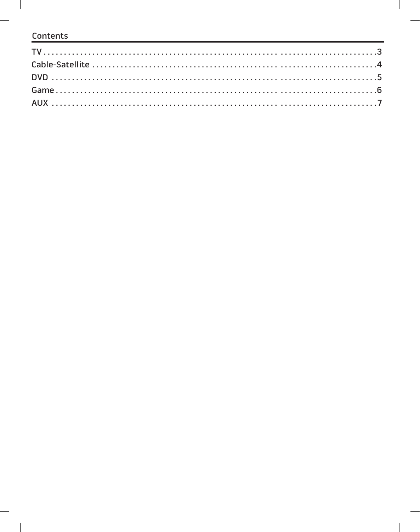#### Contents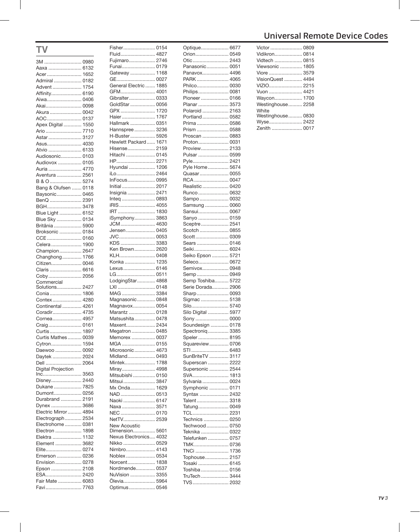# <span id="page-2-0"></span>**TV**

| 3M  0980                     |              |
|------------------------------|--------------|
| Aaxa  6132                   |              |
| Acer 1652                    |              |
| Admiral                      | 0182         |
| Advent                       | 1754         |
| Affinity                     | 6190         |
| Aiwa                         | 0406         |
| Akai                         | 0098         |
| Akura                        | 0042         |
| AOC                          | 0137         |
| Apex Digital                 | 1550         |
| Ario                         | 7710         |
| Astar                        | 3127         |
| Asus                         | 4030         |
| Atvio                        | 6133         |
| Audiosonic                   | 0103         |
| Audiovox                     | 0105         |
| Auria                        | 4770         |
| Aventura                     | 2561         |
| B&O                          | 5274         |
| Bang & Olufsen               | 0118         |
| Baysonic                     | 0465         |
| BenQ                         | 2391         |
| BGH                          | 3478         |
| <b>Blue Light </b>           | 6152         |
| Blue Sky                     | 0134         |
| Britânia<br>Broksonic        | 5900         |
|                              | 0184<br>0160 |
| CCE                          |              |
| Celera<br>Champion           | 1900<br>2647 |
| Changhong                    | 1766         |
| Citizen                      | 0046         |
|                              |              |
|                              |              |
| Claris  6616                 |              |
| Coby 2056                    |              |
|                              |              |
| Commercial<br>Solutions 2427 |              |
| Conia  1806<br>Contex 4280   |              |
| Continental  4261            |              |
| Coradir 4735                 |              |
| Cornea 4957                  |              |
| Craig 0161                   |              |
| Curtis                       | 1897         |
| Curtis Mathes  0039          |              |
| Cytron                       | 1594         |
| Daewoo                       | 0092         |
| Daytek  2024                 |              |
| Dell  2064                   |              |
| Digital Projection           |              |
| Inc                          | 3563         |
| Disney                       | 2440         |
| Dukane                       | 7825         |
| Dumont                       | 0256         |
| Durabrand                    | 2191         |
| Dynex                        | 3686         |
| Electric Mirror              | 4894         |
| Electrograph                 | 2534<br>0381 |
| Electrohome                  |              |
| Electron                     | 1898<br>1132 |
| Elektra<br>Element           | 3682         |
| Elite                        | 0274         |
|                              | 0236         |
|                              | 0278         |
| Emerson<br>Envision<br>Epson | 2108         |
| ESA 2420                     |              |
| Fair Mate  6083<br>Favi 7763 |              |

| Fisher                       | 0154         |
|------------------------------|--------------|
| Fluid                        | 4827         |
| Fujimaro                     | 2746         |
| Funai                        | 0179         |
| Gateway<br>GE                | 1168<br>0027 |
| General Electric             | 1885         |
| GFM                          | 4001         |
| Gibralter                    | 0333         |
| GoldStar                     | 0056         |
| GPX                          | 1720         |
| Haier                        | 1767         |
| Hallmark                     | 0351         |
| Hannspree<br>H-Buster        | 3236<br>5926 |
| Hewlett Packard              | 1671         |
| Hisense                      | 2159         |
| Hitachi                      | 0145         |
| HP                           | 2271         |
| Hvundai                      | 1206         |
| iLo                          | 2464         |
| InFocus<br>Initial           | 0995<br>2017 |
| Insignia                     | 2471         |
| Inteq                        | 0893         |
| iRIS                         | 4055         |
| IRT                          | 1830         |
| iSymphony                    | 3863         |
| JCM                          | 4630         |
| Jensen                       | 0405         |
| JVC                          | 0053         |
| KDS<br>Ken Brown             | 3383<br>2620 |
| KLH                          | 0408         |
| Konka                        | 1235         |
| Lexus                        | 6146         |
| LG                           | 0511         |
| LodgingStar                  | 4868         |
| LXI                          | 0148         |
| MAG<br>Magnasonic            | 3384<br>0848 |
| Magnavox                     | 0054         |
| Marantz                      | 0128         |
| Matsushita                   | 0478         |
| Maxent                       | 2434         |
| Megatron                     | 0485         |
| Memorex                      |              |
| MGA                          | 0037         |
|                              | 0155         |
| Microsonic                   | 4673         |
| Midland                      | 0493<br>1788 |
| Mintek                       | 4998         |
| Miray<br>Mitsubishi          | 0150         |
| Mitsui                       | 3847         |
| Mx Onda                      | 1629         |
| NAD                          | 0513         |
| Naoki                        | 6147         |
| Naxa                         | 3571         |
| NEC                          | 0170<br>2539 |
| NetTV<br><b>New Acoustic</b> |              |
| Dimension                    | 5601         |
| Nexus Electronics            | 4032         |
| Nikko                        | 0529         |
| Nimbro                       | 4143         |
| Noblex<br>Norcent            | 0534<br>1838 |
| Nordmende                    | 0537         |
| NuVision                     | 3355         |
| Ölevia<br>Optimus 0546       | 5964         |

| Optique 6677       |      |
|--------------------|------|
| Orion 0549         |      |
| Otic 2443          |      |
| Panasonic 0051     |      |
| Panavox 4496       |      |
| PARK  4065         |      |
| Philco 0030        |      |
| Philips            | 0081 |
| Pioneer  0166      |      |
| Planar             | 3573 |
| Polaroid           | 2163 |
| Portland 0582      |      |
| Prima 0586         |      |
| Prism              | 0588 |
| Proscan            | 0883 |
| Proton 0031        |      |
| Proview            | 2133 |
| Pulsar  0599       |      |
|                    | 2421 |
| Pyle<br>Pyle Home  | 5674 |
| Quasar             | 0055 |
|                    | 0047 |
| RCA                |      |
| Realistic  0420    |      |
| Runco              | 0632 |
| Sampo              | 0032 |
| Samsung  0060      |      |
| Sansui 0067        |      |
| Sanyo              | 0159 |
| Sceptre  2541      |      |
| Scotch  0855       |      |
| Scott              | 0309 |
| Sears  0146        |      |
| Seiki 6024         |      |
| Seiko Epson        | 5721 |
| Seleco 0672        |      |
| Semivox 0948       |      |
| Semp 0949          |      |
| Semp Toshiba 5722  |      |
| Serie Dorada 2906  |      |
| Sharp 0093         |      |
| Sigmac  5138       |      |
| Silo 5740          |      |
| Silo Digital  5977 |      |
| Sony  0000         |      |
| Soundesign  0178   |      |
| Spectroniq  3385   |      |
| Speler  8195       |      |
| Squareview  0706   |      |
| STI  6483          |      |
| SunBriteTV         | 3117 |
|                    |      |
| Superscan  2222    |      |
| Supersonic  2544   |      |
| SVA 1813           |      |
| Sylvania           | 0024 |
| Symphonic  0171    |      |
| Syntax             | 2432 |
| Talent             | 3318 |
| Tatung 0049        |      |
| TCL 2231           |      |
| Technics  0250     |      |
| Techwood  0750     |      |
| Teknika  0322      |      |
| Telefunken         | 0757 |
| TMK                | 0736 |
| TNCi  1736         |      |
| Tophouse 2157      |      |
| Tosaki  6145       |      |
| Toshiba  0156      |      |
| TruTech  3444      |      |
|                    |      |
| TVS 2032           |      |

# Universal Remote Device Codes

| Victor  0809               |  |
|----------------------------|--|
| Vidikron 0814              |  |
| Vidtech  0815              |  |
| Viewsonic  1805            |  |
| Viore  3579                |  |
| VisionQuest  4494          |  |
| VIZIO 2215                 |  |
| Vuon  4421                 |  |
| Waycon 1700                |  |
| Westinghouse 2258          |  |
| White<br>Westinghouse 0830 |  |
| Wyse 2422                  |  |
| Zenith  0017               |  |
|                            |  |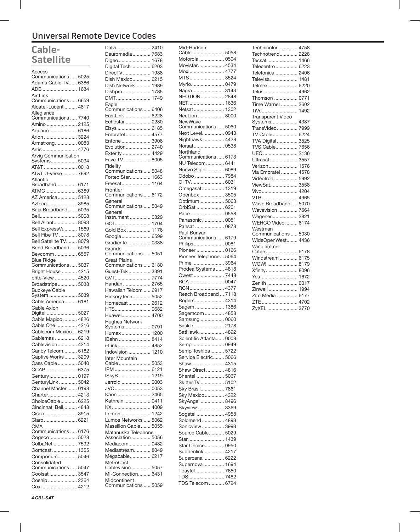#### <span id="page-3-0"></span>Universal Remote Device Codes

#### **Cable-Satellite**

| Access                     |      |
|----------------------------|------|
|                            |      |
| Communications  5025       |      |
| Adams Cable TV             | 6386 |
|                            |      |
| ADB                        | 1634 |
| Air Link                   |      |
| Communications             | 6659 |
|                            |      |
| Alcatel-Lucent             | 4817 |
| Allegiance                 |      |
| Communications             | 7740 |
| Amino                      | 2125 |
|                            |      |
| Aquário                    | 6186 |
| Arion                      | 3224 |
| Armstrong                  | 0083 |
|                            |      |
| Arris                      | 4776 |
| <b>Arvig Communication</b> |      |
| Systems                    | 5034 |
| AT&T                       | 0018 |
| AT&T U-verse               | 7692 |
|                            |      |
| Atlantic                   |      |
| Broadband                  | 6171 |
| ATMC                       | 6389 |
| AZ America                 | 5128 |
|                            |      |
| Azteca                     | 3985 |
| Baja Broadband             | 5035 |
| Bell                       | 5008 |
|                            |      |
| Bell Aliant                | 8093 |
| Bell ExpressVu             | 1569 |
| Bell Fibe TV               | 8078 |
|                            |      |
| Bell Satellite TV          | 8079 |
| Bend Broadband             | 5036 |
| Bevcomm                    | 6557 |
|                            |      |
| <b>Blue Ridge</b>          |      |
| Communications             | 5037 |
| Bright House               | 4215 |
| brite-View                 | 4520 |
|                            |      |
| Broadstripe                | 5038 |
| <b>Buckeye Cable</b>       |      |
| System  5039               |      |
| Cable America              | 6181 |
|                            |      |
| Cable Axion                |      |
|                            |      |
| Digitel<br>Digitel         | 5027 |
|                            |      |
| Cable Magico  4826         |      |
| Cable One  4216            |      |
| Cablecom Mexico  6219      |      |
|                            | 6218 |
| Cablemas                   |      |
| cablevision                | 4214 |
| Canby Telcom               | 6182 |
| Captive Works  3209        |      |
|                            |      |
| Cass Cable  5040           |      |
| CCAP                       | 6375 |
| Century                    | 0197 |
|                            | 5042 |
| CenturyLink                |      |
| Channel Master             | 0198 |
| Charter                    | 4213 |
|                            | 6225 |
| ChoiceCable                |      |
| Cincinnati Bell            | 4848 |
| Cisco                      | 3915 |
| Claro                      | 6221 |
|                            |      |
| CMA                        |      |
| Communications             | 6176 |
| Cogeco                     | 5028 |
| ColbaNet                   | 7592 |
|                            |      |
| Comcast                    | 1355 |
| Comporium                  | 5046 |
| Consolidated               |      |
| Communications             | 5047 |
|                            | 3547 |
| Coolsat                    |      |
| Coship  2364<br>Cox 4212   |      |

| Dalvi 2410                |      |
|---------------------------|------|
| Deuromedia 7683           |      |
|                           |      |
| Digeo                     | 1678 |
| Digital Tech              | 6203 |
| DirecTV                   | 1988 |
| Dish Mexico               | 6215 |
| Dish Network              | 1989 |
| Dishpro                   | 1785 |
| DMT                       | 1749 |
| Eagle                     |      |
| Communications  6406      |      |
| EastLink 6228             |      |
| Echostar  0280            |      |
| Elsys  6185               |      |
| Embratel                  | 4577 |
| Entone                    | 3906 |
| Evolution                 | 2740 |
|                           |      |
| Exterity  4429            |      |
| Fave TV 8005              |      |
| Fidelity                  |      |
| Communications  5048      |      |
| Fortec Star               | 1663 |
| Freesat                   | 1164 |
| Frontier                  |      |
| Communications , 6172     |      |
| General                   |      |
| Communications  5049      |      |
| General                   |      |
| Instrument                | 0329 |
| GOI                       | 1704 |
| Gold Box                  | 1176 |
| Google 6599               |      |
| Gradiente 0338            |      |
| Grande                    |      |
| ommunications  5051'<br>C |      |
| <b>Great Plains</b>       |      |
| Communications  6180      |      |
| Guest-Tek                 | 3391 |
| GVT 7774                  |      |
| Handan  2765              |      |
| Hawaiian Telcom  6917     |      |
| HickoryTech               | 5052 |
|                           |      |
| Homecast  2612            |      |
| HTS 0682                  |      |
| Huawei 4700               |      |
| <b>Hughes Network</b>     |      |
| Systems                   | 0791 |
| Humax                     | 1200 |
| iBahn                     | 8414 |
| i-Link                    | 4852 |
| Indovision                | 1210 |
| Inter Mountain            |      |
| Cable                     | 5053 |
| IPM                       | 6121 |
| ISkyB                     | 1219 |
| Jerrold                   | 0003 |
| JVC                       | 0053 |
| Kaon                      | 2465 |
| Kathrein                  | 0411 |
| KX                        | 4009 |
| Lemon                     | 1242 |
|                           |      |
| Lumos Networks            | 5062 |
| Massillon Cable           | 5055 |
| Matanuska Telephone       |      |
| Association 5056          |      |
| Mediacom 0482             |      |
| Mediastream 8049          |      |
| Megacable 6217            |      |
| MetroCast                 |      |
| Cablevision 5057          |      |
| Mi-Connection 6431        |      |
| Midcontinent              |      |
| Communications  5059      |      |

| Mid-Hudson                                 |              |
|--------------------------------------------|--------------|
| Cable                                      | 5058         |
| Motorola                                   | 0504<br>4534 |
| Movistar<br>Moxi                           | 4777         |
| MTS                                        | 3524         |
| Myrio                                      | 0479         |
| Nagra                                      | 3143         |
| <b>NEOTION</b>                             | 2848         |
| NET                                        | 1636         |
| Netsat                                     | 1302         |
| NeuLion                                    | 8000         |
| NewWave                                    |              |
| Communications  5060                       |              |
| Next Level                                 | 0943         |
| Nighthawk                                  | 4428         |
| Norsat                                     | 0538         |
| Northland                                  |              |
| Communications                             | 6173<br>6441 |
| NU Telecom<br>Nuevo Siglo                  | 6089         |
|                                            | 7984         |
| Odobo<br>Oi TV                             | 6031         |
| Omegasat                                   | 1319         |
| Openbox                                    | 3505         |
| Optimum                                    | 5063         |
| OrbiSat                                    | 6201         |
| Pace                                       | 0558         |
| Panasonic                                  | 0051         |
| Pansat                                     | 0878         |
| Paul Bunyan                                |              |
| Communications                             | 6179         |
| Philips                                    | 0081         |
| Pioneer                                    | 0166         |
| Pioneer Telephone                          | 5064         |
| Prime                                      | 3964         |
| Prodea Systems                             | 4818         |
| Qwest                                      | 7448         |
| RCA                                        | 0047         |
| RCN                                        | 4377         |
| Reach Broadband                            | 7118         |
| Rogers                                     | 4314         |
| Sagem                                      | 1386         |
| Sagemcom                                   | 4858         |
| Samsung                                    | 0060         |
| SaskTel  2178                              |              |
| SatHawk 4892                               |              |
| Scientific Atlanta 0008                    |              |
| Semp 0949                                  |              |
| Semp Toshiba 5722<br>Service Electric 5066 |              |
| Shaw 4315                                  |              |
| Shaw Direct  4816                          |              |
| Shentel  5067                              |              |
| Skitter.TV                                 | 5102         |
| Sky Brasil 7861                            |              |
| Sky Mexico 4322                            |              |
| SkyAngel  8496                             |              |
| Skyview  3369                              |              |
| Sogetel  4958                              |              |
| Solomend  4893                             |              |
| Sonicview                                  | 3993         |
| Source Cable                               | 5029         |
| Star                                       | 1439         |
| Star Choice                                | 0950         |
| Suddenlink 4217                            |              |
| Supercanal  6222                           |              |
| Supernova                                  |              |
|                                            | 1694         |
| Tbaytel                                    | 7650         |
| TDS 7482<br>TDS Telecom  6724              |              |

| Technicolor                        | 4758 |
|------------------------------------|------|
| Technotrend                        | 2228 |
| Tecsat                             | 1466 |
| Telecentro                         | 6223 |
| Telefonica                         | 2406 |
| Televisa                           | 1481 |
| Telmex                             | 6220 |
| Telus                              | 4962 |
| Thomson                            | 0771 |
| Time Warner                        | 3602 |
| TiVo                               | 1492 |
| Transparent Video                  |      |
| Systems                            | 4387 |
| TransVideo                         | 7999 |
| TV Cable                           | 6224 |
| TVA Digital                        | 3525 |
| <b>TVS Cable</b>                   | 7656 |
| UEC                                | 2136 |
| Ultrasat                           | 3557 |
| Verizon                            | 1576 |
| Via Embratel                       | 4578 |
| Vidéotron                          | 5992 |
| ViewSat                            | 3558 |
| Vivo                               | 4204 |
| VTR                                | 4965 |
| Wave Broadband                     | 5070 |
| Wavevision                         | 7664 |
| Wegener                            | 3821 |
| WEHCO Video                        | 6174 |
| Westman                            |      |
| Communications                     | 5030 |
| WideOpenWest                       | 4436 |
| Windiammer<br>vvinajammer<br>Cable | 6178 |
| Windstream                         | 6175 |
| WOW!                               | 8179 |
| Xfinity                            | 8096 |
| Yes                                | 1672 |
| Zenith                             | 0017 |
| Zinwell                            | 1994 |
| Zito Media                         | 6177 |
| ZTE                                | 4702 |
| ZyXEL                              | 3770 |
|                                    |      |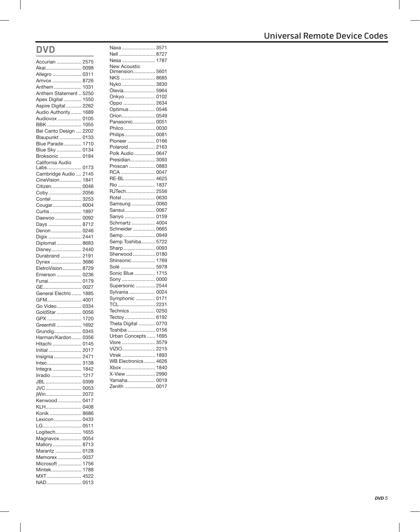# <span id="page-4-0"></span>**DVD**

| Accurian  2575         |
|------------------------|
| Akai 0098              |
| Allegro  0311          |
| Amvox  8726            |
|                        |
| Anthem  1031           |
| Anthem Statement  5250 |
| Apex Digital  1550     |
| Aspire Digital  2262   |
| Audio Authority 1689   |
| Audiovox  0105         |
| BBK  1055              |
| Bel Canto Design  2202 |
| Blaupunkt  0133        |
|                        |
| Blue Parade 1710       |
| Blue Sky  0134         |
| Broksonic  0184        |
| California Audio       |
| Labs 0173              |
| Cambridge Audio  2145  |
| CineVision 1841        |
| Citizen 0046           |
| Coby 2056              |
| Contel 3253            |
| Cougar 6004            |
| Curtis 1897            |
|                        |
| Daewoo  0092           |
| Days  8712             |
| Denon 0246             |
| Digix  2441            |
| Diplomat  8683         |
| Disney 2440            |
| Durabrand  2191        |
| Dynex  3686            |
| EletroVision 8729      |
|                        |
| Emerson  0236          |
| Funai 0179             |
| GE 0027                |
| General Electric  1885 |
| GFM 4001               |
| Go Video 0334          |
| GoldStar  0056         |
| GPX  1720              |
| Greenhill  1692        |
| Grundig 0345           |
|                        |
| Harman/Kardon 0356     |
| Hitachi  0145          |
| Initial  2017          |
| Insignia  2471         |
| Intec 3138             |
| Integra  1842          |
| Irradio  1217          |
| JBL  0399              |
| JVC 0053               |
|                        |
| jWin 2072              |
| Kenwood  0417          |
| KLH 0408               |
| Konik  8686            |
| Lexicon 0433           |
| LG 0511                |
| Logitech 1655          |
| Magnavox 0054          |
| Mallory 8713           |
|                        |
| Marantz  0128          |
| Memorex  0037          |
| Microsoft  1756        |
| Mintek 1788            |
| MXT 4522               |
| NAD  0513              |
|                        |

| 3571<br>Naxa                   |
|--------------------------------|
| 8727<br>Nell                   |
| 1787<br>Nesa                   |
| <b>New Acoustic</b>            |
| Dimension<br>5601              |
| NKS<br>8685                    |
| 3830<br>Nyko<br>Ölevia<br>5964 |
| Onkyo<br>0102                  |
| 2634<br>Oppo                   |
| Optimus<br>0546                |
| 0549<br>Orion                  |
| Panasonic<br>0051              |
| 0030<br>Philco                 |
| Philips<br>0081                |
| 0166<br>Pioneer                |
| Polaroid<br>2163               |
| Polk Audio<br>0647             |
| Presidian<br>3093              |
| 0883<br>Proscan                |
| RCA<br>0047                    |
| RE-BL<br>4625                  |
| 1837<br>Rio                    |
| 2556<br>RJTech                 |
| 0630<br>Rotel                  |
| Samsung<br>0060                |
| Sansui<br>0067                 |
| Sanyo<br>0159                  |
| 4004<br>Schmartz               |
| Schneider<br>0665              |
| 0949<br>Semp                   |
| Semp Toshiba<br>5722           |
| 0093<br>Sharp                  |
| 0180<br>Sherwood               |
| Shinsonic<br>1769              |
| Solé<br>5978                   |
| Sonic Blue<br>1715             |
| Sony<br>0000                   |
| Supersonic<br>2544             |
| Sylvania<br>0024               |
| 0171<br>Symphonic              |
| 2231<br>TCL                    |
| 0250<br>Technics               |
| 6192<br>Tectoy                 |
| Theta Digital  0770            |
| Toshiba  0156                  |
| Urban Concepts 1695            |
| Viore  3579                    |
| VIZIO 2215                     |
| Vtrek  1893                    |
| WB Electronics  4626           |
| Xbox  1840                     |
| X-View  2990                   |
| Yamaha 0019                    |
| Zenith  0017                   |
|                                |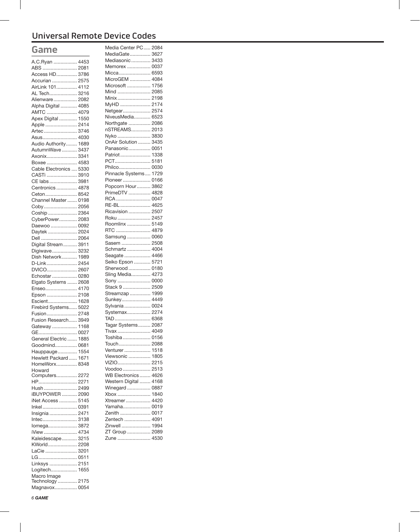#### <span id="page-5-0"></span>Universal Remote Device Codes

#### **Game**

| A.C.Ryan          | 4453 |
|-------------------|------|
| ABS               | 2081 |
| Access HD         | 3786 |
| Accurian          | 2575 |
|                   |      |
| AirLink 101       | 4112 |
| AL Tech           | 3216 |
| Alienware         | 2082 |
| Alpha Digital     | 4085 |
| AMTC              | 4079 |
| Apex Digital      | 1550 |
| Apple             | 2414 |
| Artec             | 3746 |
| Asus              | 4030 |
| Audio Authority   | 1689 |
|                   |      |
| AutumnWave        | 3437 |
| Axonix            | 3341 |
| Boxee             | 4583 |
| Cable Electronics | 5330 |
| CASTi             | 3910 |
| CE labs           | 3981 |
| Centronics        | 4878 |
| Ceton             | 8542 |
| Channel Master    | 0198 |
| Coby              | 2056 |
|                   |      |
| Coship            | 2364 |
| CyberPower        | 2083 |
| Daewoo            | 0092 |
| Daytek            | 2024 |
| Dell              | 2064 |
| Digital Stream    | 3911 |
| Digiwave          | 3232 |
| Dish Network      | 1989 |
| D-Link            | 2454 |
|                   |      |
|                   |      |
| DVICO             | 2607 |
| Echostar          | 0280 |
| Elgato Systems    | 2608 |
| Enseo             | 4170 |
| Epson             | 2108 |
| Escient           | 1628 |
| Firebird Systems  | 5022 |
|                   | 2748 |
| Fusion            | 3949 |
| Fusion Research   |      |
| Gateway           | 1168 |
| GE<br>.           | 0027 |
| General Electric  | 1885 |
| Goodmind          | 0681 |
| Hauppauge         | 1554 |
| Hewlett Packard   | 1671 |
| HomeWorx          | 8348 |
| Howard            |      |
| Computers         | 2272 |
| HP                | 2271 |
| Hush              | 2499 |
| iBUYPOWER         | 2090 |
| iNet Access       | 5145 |
| Inkel             | 0391 |
|                   |      |
| Insignia          | 2471 |
| Intec             | 3138 |
| lomega            | 3872 |
| iView             | 4734 |
| Kaleidescape      | 3215 |
| KWorld            | 2208 |
| LaCie             | 3201 |
| LG                | 0511 |
| Linksys           | 2151 |
| Logitech          | 1655 |
| Macro Image       |      |
| Technology  2175  |      |

| Media Center PC 2084  |      |
|-----------------------|------|
| MediaGate 3627        |      |
| Mediasonic  3433      |      |
| Memorex  0037         |      |
| Micca 6593            |      |
| MicroGEM  4084        |      |
| Microsoft             | 1756 |
| Mind                  | 2085 |
| Minix  2198           |      |
| MyHD  2174            |      |
| Netgear               | 2574 |
| NiveusMedia           | 6523 |
| Northgate             | 2086 |
| nSTREAMS              | 2013 |
| Nyko                  | 3830 |
| OnAir Solution        | 3435 |
| Panasonic             | 0051 |
| Patriot               | 1338 |
| PCT                   | 5181 |
| Philco                | 0030 |
| Pinnacle Systems      | 1729 |
| Pioneer  0166         |      |
| Popcorn Hour          | 3862 |
| PrimeDTV  4828        |      |
| RCA                   | 0047 |
| RE-BL 4625            |      |
| Ricavision  2507      |      |
| Roku  2457            |      |
| Roomlinx  5149        |      |
| RTC                   | 4879 |
| Samsung  0060         |      |
| Sasem                 | 2508 |
| Schmartz              | 4004 |
| Seagate  4466         |      |
| Seiko Epson  5721     |      |
| Sherwood              | 0180 |
| Sling Media           | 4273 |
| Sony  0000            |      |
| Stack 9  2509         |      |
| Streamzap  1999       |      |
| Sunkey 4449           |      |
| Sylvania  0024        |      |
| Systemax 2274         |      |
| TAD  6368             |      |
| Tagar Systems 2087    |      |
| Tivax  4049           |      |
| Toshiba  0156         |      |
| Touch 2088            |      |
| Venturer  1518        |      |
| Viewsonic  1805       |      |
| VIZIO 2215            |      |
| Voodoo  2513          |      |
| WB Electronics 4626   |      |
| Western Digital  4168 |      |
| Winegard  0887        |      |
| Xbox<br>Xtreamer 4420 | 1840 |
|                       |      |
| Yamaha 0019<br>Zenith | 0017 |
| Zentech  4091         |      |
| Zinwell  1994         |      |
| ZT Group  2089        |      |
| Zune  4530            |      |
|                       |      |
|                       |      |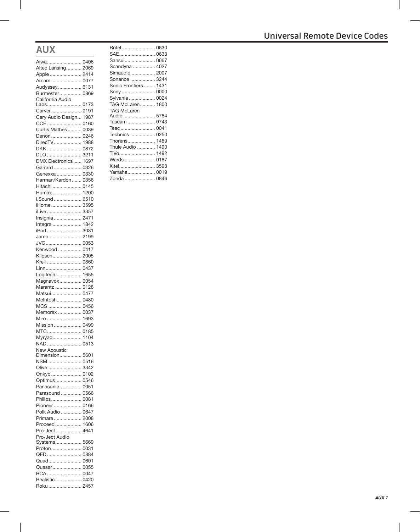### <span id="page-6-0"></span>**AUX**

|                                    | o<br>S |
|------------------------------------|--------|
|                                    | S      |
| Altec Lansing 2069                 | S      |
| Apple  2414                        | S      |
| Arcam  0077                        | S      |
| Audyssey 6131                      | S      |
| Burmester 0869<br>California Audio | S      |
| Labs 0173                          | T,     |
| Carver 0191                        | T,     |
| Cary Audio Design 1987             | Α      |
|                                    | Т      |
| Curtis Mathes 0039                 | Т      |
| Denon  0246                        | т      |
| DirecTV 1988                       | Т      |
| DKK 0872                           | Т      |
| DLO  3211                          | Т      |
| DMX Electronics 1697               | V      |
| Garrard  0326                      | Χ<br>Y |
| Genexxa  0330                      | Z      |
| Harman/Kardon 0356                 |        |
| Hitachi  0145                      |        |
| Humax  1200                        |        |
| i.Sound  6510                      |        |
| iHome 3595                         |        |
| iLive  3357                        |        |
| Insignia  2471<br>Integra  1842    |        |
| iPort 3031                         |        |
| Jamo 2199                          |        |
| JVC 0053                           |        |
| Kenwood  0417                      |        |
| Klipsch 2005                       |        |
| Krell  0860                        |        |
| Linn 0437                          |        |
| Logitech 1655                      |        |
| Magnavox 0054                      |        |
| Marantz  0128                      |        |
| Matsui 0477                        |        |
| McIntosh 0480                      |        |
|                                    |        |
| Memorex  0037                      |        |
| Miro  1693                         |        |
| Mission  0499                      |        |
|                                    |        |
| Myryad 1104                        |        |
| NAD  0513<br>New Acoustic          |        |
| Dimension 5601                     |        |
| NSM  0516                          |        |
| Olive  3342                        |        |
| Onkyo  0102                        |        |
| Optimus 0546                       |        |
| Panasonic 0051                     |        |
| Parasound  0566                    |        |
| Philips 0081                       |        |
| Pioneer  0166                      |        |
| Polk Audio  0647                   |        |
| Primare  2008                      |        |
| Proceed 1606                       |        |
| Pro-Ject 4641                      |        |
| Pro-Ject Audio<br>Systems 5669     |        |
| Proton 0031                        |        |
| QED  0884                          |        |
| Quad 0601                          |        |
| Quasar 0055                        |        |
| RCA  0047                          |        |
| Realistic 0420                     |        |
| Roku  2457                         |        |

| Rotel  0630           |  |
|-----------------------|--|
| SAE 0633              |  |
| Sansui 0067           |  |
| Scandyna  4027        |  |
| Simaudio  2007        |  |
| Sonance  3244         |  |
| Sonic Frontiers  1431 |  |
| Sony  0000            |  |
| Sylvania  0024        |  |
| TAG McLaren 1800      |  |
| <b>TAG McLaren</b>    |  |
| Audio  5784           |  |
| Tascam  0743          |  |
| Teac  0041            |  |
| Technics  0250        |  |
| Thorens 1489          |  |
| Thule Audio  1490     |  |
| TiVo 1492             |  |
| Wards  0187           |  |
| Xitel 3593            |  |
| Yamaha 0019           |  |
| Zonda  0846           |  |
|                       |  |
|                       |  |
|                       |  |